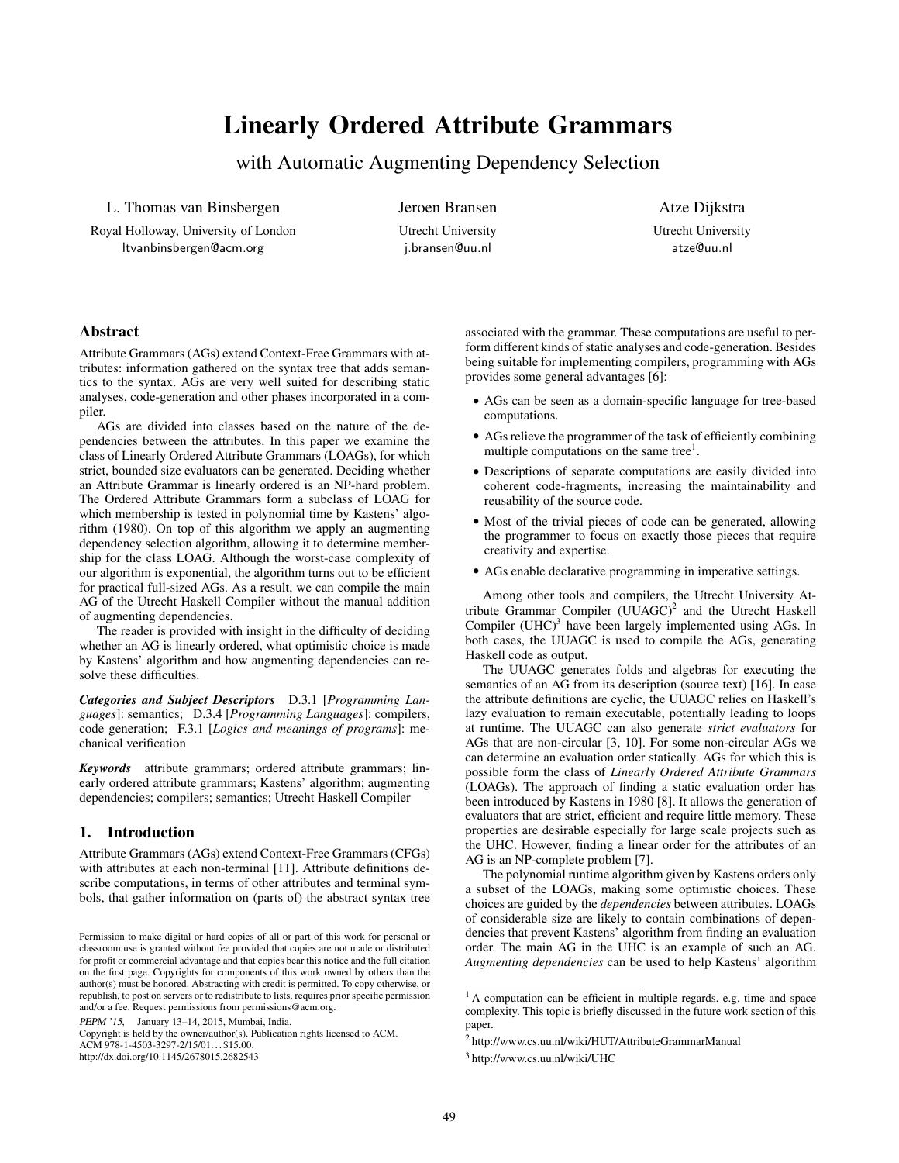# Linearly Ordered Attribute Grammars

with Automatic Augmenting Dependency Selection

L. Thomas van Binsbergen

Royal Holloway, University of London ltvanbinsbergen@acm.org

Jeroen Bransen Utrecht University j.bransen@uu.nl

Atze Dijkstra Utrecht University atze@uu.nl

# Abstract

Attribute Grammars (AGs) extend Context-Free Grammars with attributes: information gathered on the syntax tree that adds semantics to the syntax. AGs are very well suited for describing static analyses, code-generation and other phases incorporated in a compiler.

AGs are divided into classes based on the nature of the dependencies between the attributes. In this paper we examine the class of Linearly Ordered Attribute Grammars (LOAGs), for which strict, bounded size evaluators can be generated. Deciding whether an Attribute Grammar is linearly ordered is an NP-hard problem. The Ordered Attribute Grammars form a subclass of LOAG for which membership is tested in polynomial time by Kastens' algorithm (1980). On top of this algorithm we apply an augmenting dependency selection algorithm, allowing it to determine membership for the class LOAG. Although the worst-case complexity of our algorithm is exponential, the algorithm turns out to be efficient for practical full-sized AGs. As a result, we can compile the main AG of the Utrecht Haskell Compiler without the manual addition of augmenting dependencies.

The reader is provided with insight in the difficulty of deciding whether an AG is linearly ordered, what optimistic choice is made by Kastens' algorithm and how augmenting dependencies can resolve these difficulties.

*Categories and Subject Descriptors* D.3.1 [*Programming Languages*]: semantics; D.3.4 [*Programming Languages*]: compilers, code generation; F.3.1 [*Logics and meanings of programs*]: mechanical verification

*Keywords* attribute grammars; ordered attribute grammars; linearly ordered attribute grammars; Kastens' algorithm; augmenting dependencies; compilers; semantics; Utrecht Haskell Compiler

# 1. Introduction

Attribute Grammars (AGs) extend Context-Free Grammars (CFGs) with attributes at each non-terminal [11]. Attribute definitions describe computations, in terms of other attributes and terminal symbols, that gather information on (parts of) the abstract syntax tree

PEPM '15, January 13–14, 2015, Mumbai, India.

Copyright is held by the owner/author(s). Publication rights licensed to ACM. ACM 978-1-4503-3297-2/15/01... \$15.00. http://dx.doi.org/10.1145/2678015.2682543

associated with the grammar. These computations are useful to perform different kinds of static analyses and code-generation. Besides being suitable for implementing compilers, programming with AGs provides some general advantages [6]:

- AGs can be seen as a domain-specific language for tree-based computations.
- AGs relieve the programmer of the task of efficiently combining multiple computations on the same tree<sup>1</sup>.
- Descriptions of separate computations are easily divided into coherent code-fragments, increasing the maintainability and reusability of the source code.
- Most of the trivial pieces of code can be generated, allowing the programmer to focus on exactly those pieces that require creativity and expertise.
- AGs enable declarative programming in imperative settings.

Among other tools and compilers, the Utrecht University Attribute Grammar Compiler  $(UUAGC)^2$  and the Utrecht Haskell Compiler (UHC)<sup>3</sup> have been largely implemented using AGs. In both cases, the UUAGC is used to compile the AGs, generating Haskell code as output.

The UUAGC generates folds and algebras for executing the semantics of an AG from its description (source text) [16]. In case the attribute definitions are cyclic, the UUAGC relies on Haskell's lazy evaluation to remain executable, potentially leading to loops at runtime. The UUAGC can also generate *strict evaluators* for AGs that are non-circular [3, 10]. For some non-circular AGs we can determine an evaluation order statically. AGs for which this is possible form the class of *Linearly Ordered Attribute Grammars* (LOAGs). The approach of finding a static evaluation order has been introduced by Kastens in 1980 [8]. It allows the generation of evaluators that are strict, efficient and require little memory. These properties are desirable especially for large scale projects such as the UHC. However, finding a linear order for the attributes of an AG is an NP-complete problem [7].

The polynomial runtime algorithm given by Kastens orders only a subset of the LOAGs, making some optimistic choices. These choices are guided by the *dependencies* between attributes. LOAGs of considerable size are likely to contain combinations of dependencies that prevent Kastens' algorithm from finding an evaluation order. The main AG in the UHC is an example of such an AG. *Augmenting dependencies* can be used to help Kastens' algorithm

Permission to make digital or hard copies of all or part of this work for personal or classroom use is granted without fee provided that copies are not made or distributed for profit or commercial advantage and that copies bear this notice and the full citation on the first page. Copyrights for components of this work owned by others than the author(s) must be honored. Abstracting with credit is permitted. To copy otherwise, or republish, to post on servers or to redistribute to lists, requires prior specific permission and/or a fee. Request permissions from permissions@acm.org.

<sup>&</sup>lt;sup>1</sup> A computation can be efficient in multiple regards, e.g. time and space complexity. This topic is briefly discussed in the future work section of this paper.

<sup>2</sup> http://www.cs.uu.nl/wiki/HUT/AttributeGrammarManual

<sup>3</sup> http://www.cs.uu.nl/wiki/UHC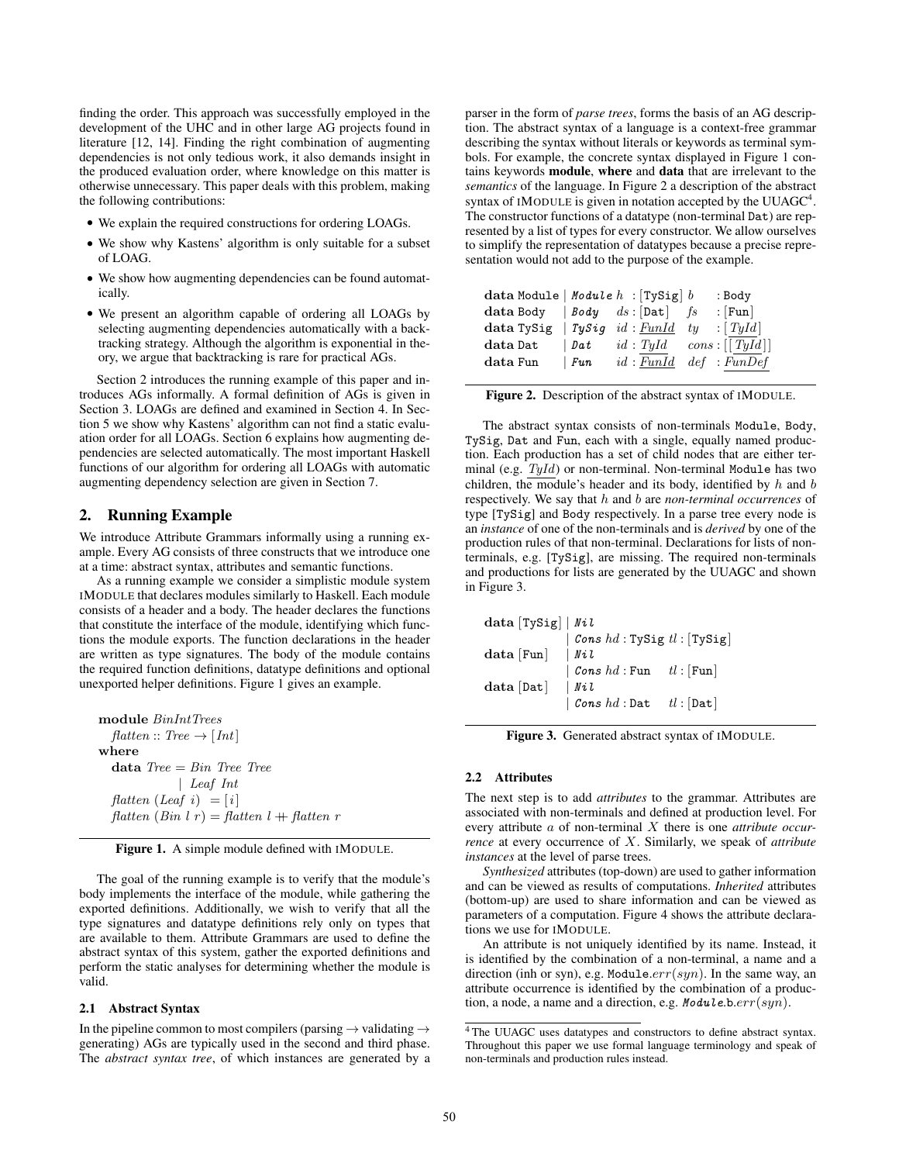finding the order. This approach was successfully employed in the development of the UHC and in other large AG projects found in literature [12, 14]. Finding the right combination of augmenting dependencies is not only tedious work, it also demands insight in the produced evaluation order, where knowledge on this matter is otherwise unnecessary. This paper deals with this problem, making the following contributions:

- We explain the required constructions for ordering LOAGs.
- We show why Kastens' algorithm is only suitable for a subset of LOAG.
- We show how augmenting dependencies can be found automatically.
- We present an algorithm capable of ordering all LOAGs by selecting augmenting dependencies automatically with a backtracking strategy. Although the algorithm is exponential in theory, we argue that backtracking is rare for practical AGs.

Section 2 introduces the running example of this paper and introduces AGs informally. A formal definition of AGs is given in Section 3. LOAGs are defined and examined in Section 4. In Section 5 we show why Kastens' algorithm can not find a static evaluation order for all LOAGs. Section 6 explains how augmenting dependencies are selected automatically. The most important Haskell functions of our algorithm for ordering all LOAGs with automatic augmenting dependency selection are given in Section 7.

# 2. Running Example

We introduce Attribute Grammars informally using a running example. Every AG consists of three constructs that we introduce one at a time: abstract syntax, attributes and semantic functions.

As a running example we consider a simplistic module system IMODULE that declares modules similarly to Haskell. Each module consists of a header and a body. The header declares the functions that constitute the interface of the module, identifying which functions the module exports. The function declarations in the header are written as type signatures. The body of the module contains the required function definitions, datatype definitions and optional unexported helper definitions. Figure 1 gives an example.

module BinIntTrees  $f$ *latten* :: Tree  $\rightarrow$  [Int] where  $data\ Tree = Bin\ Tree \ Tree$ | Leaf Int flatten (Leaf i) =  $[i]$ flatten (Bin l r) = flatten l + flatten r

Figure 1. A simple module defined with IMODULE.

The goal of the running example is to verify that the module's body implements the interface of the module, while gathering the exported definitions. Additionally, we wish to verify that all the type signatures and datatype definitions rely only on types that are available to them. Attribute Grammars are used to define the abstract syntax of this system, gather the exported definitions and perform the static analyses for determining whether the module is valid.

## 2.1 Abstract Syntax

In the pipeline common to most compilers (parsing  $\rightarrow$  validating  $\rightarrow$ generating) AGs are typically used in the second and third phase. The *abstract syntax tree*, of which instances are generated by a parser in the form of *parse trees*, forms the basis of an AG description. The abstract syntax of a language is a context-free grammar describing the syntax without literals or keywords as terminal symbols. For example, the concrete syntax displayed in Figure 1 contains keywords module, where and data that are irrelevant to the *semantics* of the language. In Figure 2 a description of the abstract syntax of IMODULE is given in notation accepted by the UUAGC $4$ . The constructor functions of a datatype (non-terminal Dat) are represented by a list of types for every constructor. We allow ourselves to simplify the representation of datatypes because a precise representation would not add to the purpose of the example.

| data Module   Module $h$ : [TySig] $b$ |      |  |    | : Body                            |
|----------------------------------------|------|--|----|-----------------------------------|
| data Body $ $ <i>Body</i> $ds :$ [Dat] |      |  | fs | $\lfloor$ [Fun]                   |
| data TySig   TySig id: FunId ty        |      |  |    | $\colon [Tyld]$                   |
| data Dat                               | Data |  |    | $id: Tyld \quad cons: [[Tyld]]$   |
| $\rm{data}$ Fun                        | Fun  |  |    | $id: FunId \text{ def : } FunDef$ |

Figure 2. Description of the abstract syntax of IMODULE.

The abstract syntax consists of non-terminals Module, Body, TySig, Dat and Fun, each with a single, equally named production. Each production has a set of child nodes that are either terminal (e.g.  $TyId$ ) or non-terminal. Non-terminal Module has two children, the module's header and its body, identified by  $h$  and  $b$ respectively. We say that h and b are *non-terminal occurrences* of type [TySig] and Body respectively. In a parse tree every node is an *instance* of one of the non-terminals and is *derived* by one of the production rules of that non-terminal. Declarations for lists of nonterminals, e.g. [TySig], are missing. The required non-terminals and productions for lists are generated by the UUAGC and shown in Figure 3.

| data [TySig]   $Nil$              |                                         |  |
|-----------------------------------|-----------------------------------------|--|
|                                   | Cons $hd$ : TySig $tl$ : [TySig]        |  |
| $data$ $\lceil \text{Fun} \rceil$ | Nil                                     |  |
|                                   | Cons $hd$ : Fun $tl$ : [Fun]            |  |
| data[Det]                         | $\mid$ Nil                              |  |
|                                   | $\mathcal{C}$ ons $hd:$ Dat $tl:$ [Dat] |  |

Figure 3. Generated abstract syntax of IMODULE.

## 2.2 Attributes

The next step is to add *attributes* to the grammar. Attributes are associated with non-terminals and defined at production level. For every attribute a of non-terminal X there is one *attribute occurrence* at every occurrence of X. Similarly, we speak of *attribute instances* at the level of parse trees.

*Synthesized* attributes (top-down) are used to gather information and can be viewed as results of computations. *Inherited* attributes (bottom-up) are used to share information and can be viewed as parameters of a computation. Figure 4 shows the attribute declarations we use for IMODULE.

An attribute is not uniquely identified by its name. Instead, it is identified by the combination of a non-terminal, a name and a direction (inh or syn), e.g. Module. $err(syn)$ . In the same way, an attribute occurrence is identified by the combination of a production, a node, a name and a direction, e.g.  $Module.b.err(syn)$ .

<sup>4</sup> The UUAGC uses datatypes and constructors to define abstract syntax. Throughout this paper we use formal language terminology and speak of non-terminals and production rules instead.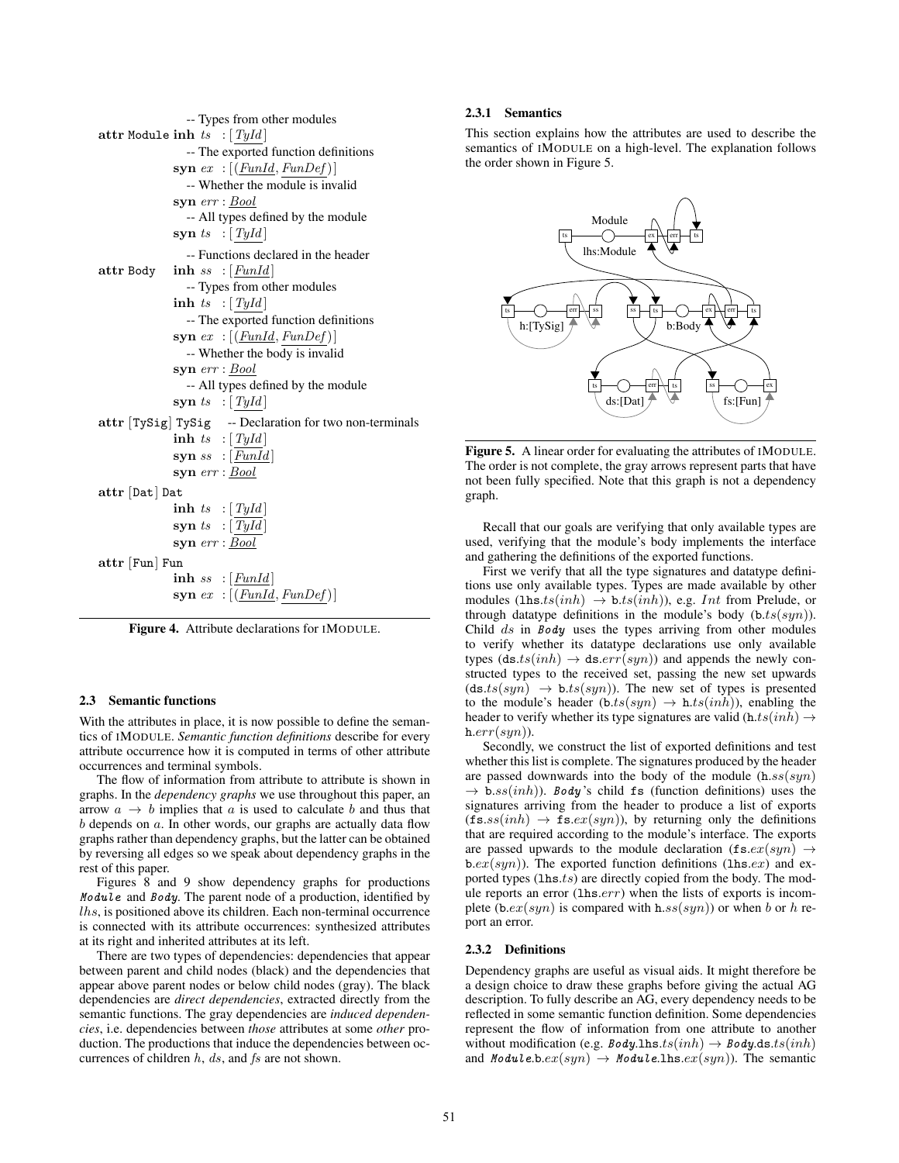```
-- Types from other modules
attr Module inh ts : [TyId]-- The exported function definitions
             syn ex : [(FunId, FunDef)]-- Whether the module is invalid
             syn err : Bool
               -- All types defined by the module
             syn ts \colon [Tyld]-- Functions declared in the header
attr Body inh ss : [FunId]
               -- Types from other modules
             inh ts : [TyId]-- The exported function definitions
             syn ex: [(Fund, FunDef)]-- Whether the body is invalid
             syn err : Bool
               -- All types defined by the module
             syn ts \colon [Tyld]attr [TySig] TySig -- Declaration for two non-terminals
             inh ts : [TyId]syn ss :[\underline{Fund}]syn err : Bool
attr [Dat] Dat
             inh ts : [TyId]syn ts : [Tyld]syn err : Bool
attr [Fun] Fun
             inh ss : [Fund]syn ex: [(Fund, FunDef)]
```
Figure 4. Attribute declarations for IMODULE.

# 2.3 Semantic functions

With the attributes in place, it is now possible to define the semantics of IMODULE. *Semantic function definitions* describe for every attribute occurrence how it is computed in terms of other attribute occurrences and terminal symbols.

The flow of information from attribute to attribute is shown in graphs. In the *dependency graphs* we use throughout this paper, an arrow  $a \rightarrow b$  implies that a is used to calculate b and thus that  $b$  depends on  $a$ . In other words, our graphs are actually data flow graphs rather than dependency graphs, but the latter can be obtained by reversing all edges so we speak about dependency graphs in the rest of this paper.

Figures 8 and 9 show dependency graphs for productions Module and Body. The parent node of a production, identified by lhs, is positioned above its children. Each non-terminal occurrence is connected with its attribute occurrences: synthesized attributes at its right and inherited attributes at its left.

There are two types of dependencies: dependencies that appear between parent and child nodes (black) and the dependencies that appear above parent nodes or below child nodes (gray). The black dependencies are *direct dependencies*, extracted directly from the semantic functions. The gray dependencies are *induced dependencies*, i.e. dependencies between *those* attributes at some *other* production. The productions that induce the dependencies between occurrences of children  $h$ ,  $ds$ , and  $fs$  are not shown.

# 2.3.1 Semantics

This section explains how the attributes are used to describe the semantics of IMODULE on a high-level. The explanation follows the order shown in Figure 5.



Figure 5. A linear order for evaluating the attributes of IMODULE. The order is not complete, the gray arrows represent parts that have not been fully specified. Note that this graph is not a dependency graph.

Recall that our goals are verifying that only available types are used, verifying that the module's body implements the interface and gathering the definitions of the exported functions.

First we verify that all the type signatures and datatype definitions use only available types. Types are made available by other modules (lhs.ts $(inh) \rightarrow b.ts(inh)$ ), e.g. Int from Prelude, or through datatype definitions in the module's body  $(b.ts(syn))$ . Child  $ds$  in  $Body$  uses the types arriving from other modules to verify whether its datatype declarations use only available types  $(d\mathbf{s}.ts(inh) \rightarrow d\mathbf{s}.err(syn))$  and appends the newly constructed types to the received set, passing the new set upwards  $(d\mathbf{s}.ts(syn) \rightarrow \mathbf{b}.ts(syn))$ . The new set of types is presented to the module's header  $(b.ts(syn) \rightarrow h.ts(inh))$ , enabling the header to verify whether its type signatures are valid  $(h.ts(inh) \rightarrow$  $h.err(syn)$ ).

Secondly, we construct the list of exported definitions and test whether this list is complete. The signatures produced by the header are passed downwards into the body of the module  $(h.ss(syn))$  $\rightarrow$  b.ss(inh)). Body's child fs (function definitions) uses the signatures arriving from the header to produce a list of exports  $(f\mathbf{s}.ss(inh) \rightarrow \mathbf{fs}.ex(syn))$ , by returning only the definitions that are required according to the module's interface. The exports are passed upwards to the module declaration  $(f\mathbf{s}.ex(syn) \rightarrow$  $b.ex(syn)$ ). The exported function definitions (lhs.ex) and exported types  $(hs.ts)$  are directly copied from the body. The module reports an error (lhs.err) when the lists of exports is incomplete (b.ex(syn) is compared with h.ss(syn)) or when b or h report an error.

# 2.3.2 Definitions

Dependency graphs are useful as visual aids. It might therefore be a design choice to draw these graphs before giving the actual AG description. To fully describe an AG, every dependency needs to be reflected in some semantic function definition. Some dependencies represent the flow of information from one attribute to another without modification (e.g. Body.lhs.ts $(inh) \rightarrow Body.ds.ts (inh)$ ) and *Module.b.ex(syn)*  $\rightarrow$  *Module.lhs.ex(syn)*). The semantic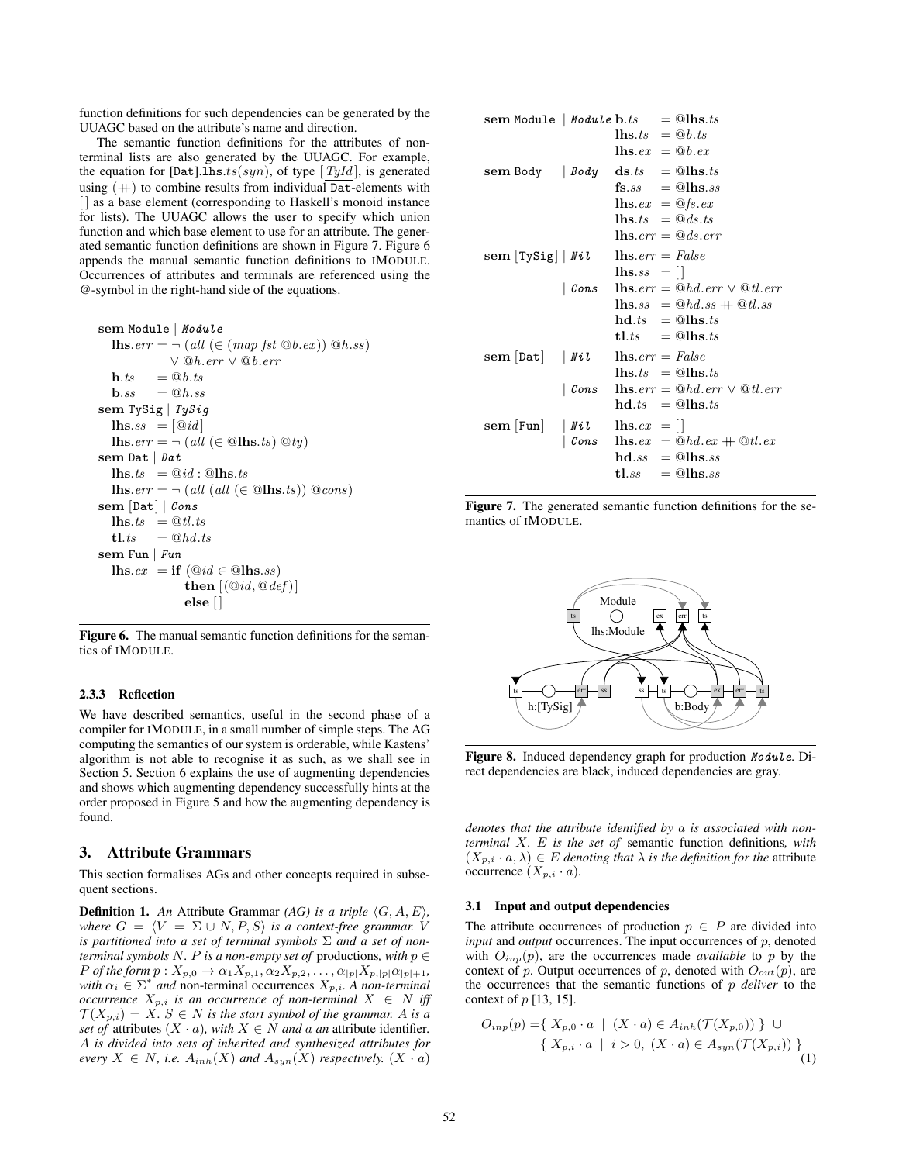function definitions for such dependencies can be generated by the UUAGC based on the attribute's name and direction.

The semantic function definitions for the attributes of nonterminal lists are also generated by the UUAGC. For example, the equation for [Dat].1hs.ts(syn), of type [TyId], is generated using  $(+)$  to combine results from individual Dat-elements with [] as a base element (corresponding to Haskell's monoid instance for lists). The UUAGC allows the user to specify which union function and which base element to use for an attribute. The generated semantic function definitions are shown in Figure 7. Figure 6 appends the manual semantic function definitions to IMODULE. Occurrences of attributes and terminals are referenced using the @-symbol in the right-hand side of the equations.

sem Module | *Module*  
\n**lhs**. err = 
$$
\neg
$$
 (all ( ∈ (map *fst* @*b*.ex)) @*h*.ss)  
\n∨ @*h*.err ∨ @*b*.err  
\n**h**.ts = @*b*.ts  
\n**b**.ss = @*h*.ss  
\n**sem TySig** | *TySig*  
\n**lhs**.ss = [@id]  
\n**lhs**.err =  $\neg$  (all ( ∈ @lhs.ts) @*ty*)  
\n**sem Dat** | *Pat*  
\n**lhs**.ts = @id : @lls.ts  
\n**lhs**.err =  $\neg$  (all (all ( ∈ @lls.ts)) @cons)  
\n**sem [bat]** | *Cons*  
\n**lhs**.ts = @*td*.ts  
\n**tl**.ts = @*hd*.ts  
\n**tl**.ts = @*hd*.ts  
\n**sem Fun** | *Fun*  
\n**lhs**.ex = **if** (@id ∈ @lls.ss)  
\n**then** [(@id, @def)]  
\n**else** []

Figure 6. The manual semantic function definitions for the semantics of IMODULE.

# 2.3.3 Reflection

We have described semantics, useful in the second phase of a compiler for IMODULE, in a small number of simple steps. The AG computing the semantics of our system is orderable, while Kastens' algorithm is not able to recognise it as such, as we shall see in Section 5. Section 6 explains the use of augmenting dependencies and shows which augmenting dependency successfully hints at the order proposed in Figure 5 and how the augmenting dependency is found.

## 3. Attribute Grammars

This section formalises AGs and other concepts required in subsequent sections.

**Definition 1.** An Attribute Grammar *(AG) is a triple*  $\langle G, A, E \rangle$ *, where*  $G = \langle V = \Sigma \cup N, P, S \rangle$  *is a context-free grammar.* V *is partitioned into a set of terminal symbols* Σ *and a set of nonterminal symbols*  $N$ *. P is a non-empty set of productions, with*  $p \in$ *P of the form*  $p: X_{p,0} \to \alpha_1 X_{p,1}, \alpha_2 X_{p,2}, \ldots, \alpha_{|p|} X_{p,|p|} \alpha_{|p|+1}$ , with  $\alpha_i \in \Sigma^*$  and non-terminal occurrences  $X_{p,i}$ . A non-terminal *occurrence*  $X_{p,i}$  *is an occurrence of non-terminal*  $X \in N$  *iff*  $\mathcal{T}(X_{p,i}) = X$ *.*  $S \in N$  *is the start symbol of the grammar.* A *is a set of* attributes  $(X \cdot a)$ *, with*  $X \in N$  *and a an* attribute identifier. A *is divided into sets of inherited and synthesized attributes for every*  $X \in N$ *, i.e.*  $A_{inh}(X)$  *and*  $A_{syn}(X)$  *respectively.*  $(X \cdot a)$ 

| ${\bf sem}$ Module   Module ${\bf b}.ts = \textcircled{{\bf h}{\bf s}}.ts$ |                           |                                                 |                                                                                        |
|----------------------------------------------------------------------------|---------------------------|-------------------------------------------------|----------------------------------------------------------------------------------------|
|                                                                            |                           | $\mathbf{u}$ lhs.ts $= \mathbf{0}b$ .ts         |                                                                                        |
|                                                                            |                           | $\mathbf{h}$ s.e $x = \mathbf{\mathbb{Q}}b$ .ex |                                                                                        |
| sem Body $ $ Body ds.ts = @lhs.ts                                          |                           |                                                 |                                                                                        |
|                                                                            |                           |                                                 | $\mathbf{fs}.ss = \mathbf{Q}$ lhs.ss                                                   |
|                                                                            |                           | $\mathbf{u} = \mathbf{0}$ fs.ex                 |                                                                                        |
|                                                                            |                           | $\mathbf{u}$ ins. $ts = \mathbf{0} ds.$ is      |                                                                                        |
|                                                                            |                           |                                                 | $\mathbf{u}_s$ , $err = \mathbf{0} ds$ , $err$                                         |
| sem $[TySig]   Nil$ lhs. $err = False$                                     |                           |                                                 |                                                                                        |
|                                                                            |                           | $\text{lns}.ss =  $                             |                                                                                        |
|                                                                            |                           |                                                 | $\int$ Cons lhs.err = $@hd.err \vee ②tl.err$                                           |
|                                                                            |                           |                                                 | $\mathbf{u}_{\text{ss}} = \mathbf{0}_{hd,ss} + \mathbf{0}_{t,ss}$                      |
|                                                                            |                           |                                                 | $\mathbf{hd}.ts = \mathbf{Q}l\mathbf{hs}.ts$                                           |
|                                                                            |                           |                                                 | $t, t, t$ = $@l$ hs.ts                                                                 |
| sem [Dat]   Nil $\qquad$ lhs. $err = False$                                |                           |                                                 |                                                                                        |
|                                                                            |                           |                                                 | $\mathbf{h}$ s.ts $=$ @lhs.ts                                                          |
|                                                                            | $\mid \mathit{Cons} \mid$ |                                                 | <b>lhs</b> .err = $@hd.err \vee @tl.err$                                               |
|                                                                            |                           |                                                 | $hd.ts = @llbs.ts$                                                                     |
| $\textbf{sem} [\text{Fun} \mid \mathit{Nil} \quad \text{lls.ex} = []$      |                           |                                                 |                                                                                        |
|                                                                            |                           |                                                 | Cons $\text{lns.} e x = \text{\textcircled{a}} h d.ex + \text{\textcircled{a}} t l.ex$ |
|                                                                            |                           |                                                 | $\mathbf{hd}.ss = \mathbf{Q}$ lhs.ss                                                   |
|                                                                            |                           |                                                 | $t l.s s = \textcircled{a} l h s.s s$                                                  |
|                                                                            |                           |                                                 |                                                                                        |

Figure 7. The generated semantic function definitions for the semantics of IMODULE.



Figure 8. Induced dependency graph for production Module. Direct dependencies are black, induced dependencies are gray.

*denotes that the attribute identified by* a *is associated with nonterminal* X*.* E *is the set of* semantic function definitions*, with*  $(X_{p,i} \cdot a, \lambda) \in E$  *denoting that*  $\lambda$  *is the definition for the attribute* occurrence  $(X_{p,i} \cdot a)$ .

## 3.1 Input and output dependencies

The attribute occurrences of production  $p \in P$  are divided into *input* and *output* occurrences. The input occurrences of p, denoted with  $O_{inp}(p)$ , are the occurrences made *available* to p by the context of p. Output occurrences of p, denoted with  $O_{out}(p)$ , are the occurrences that the semantic functions of p *deliver* to the context of  $p$  [13, 15].

$$
O_{inp}(p) = \{ X_{p,0} \cdot a \mid (X \cdot a) \in A_{inh}(\mathcal{T}(X_{p,0})) \} \cup \{ X_{p,i} \cdot a \mid i > 0, (X \cdot a) \in A_{syn}(\mathcal{T}(X_{p,i})) \}
$$
\n(1)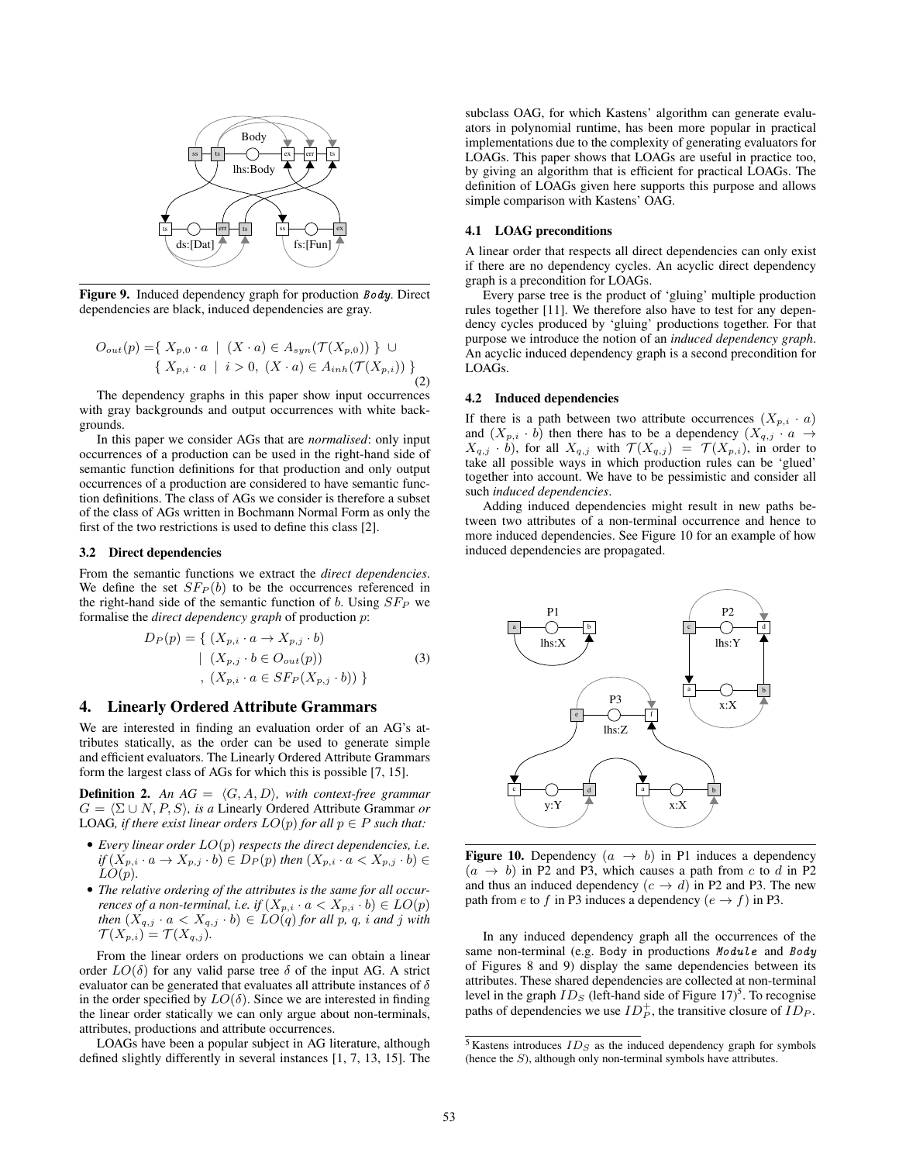

Figure 9. Induced dependency graph for production Body. Direct dependencies are black, induced dependencies are gray.

$$
O_{out}(p) = \{ X_{p,0} \cdot a \mid (X \cdot a) \in A_{syn}(\mathcal{T}(X_{p,0})) \} \cup \{ X_{p,i} \cdot a \mid i > 0, (X \cdot a) \in A_{inh}(\mathcal{T}(X_{p,i})) \}
$$
\n(2)

The dependency graphs in this paper show input occurrences with gray backgrounds and output occurrences with white backgrounds.

In this paper we consider AGs that are *normalised*: only input occurrences of a production can be used in the right-hand side of semantic function definitions for that production and only output occurrences of a production are considered to have semantic function definitions. The class of AGs we consider is therefore a subset of the class of AGs written in Bochmann Normal Form as only the first of the two restrictions is used to define this class [2].

#### 3.2 Direct dependencies

From the semantic functions we extract the *direct dependencies*. We define the set  $SFP(b)$  to be the occurrences referenced in the right-hand side of the semantic function of b. Using  $SF_P$  we formalise the *direct dependency graph* of production p:

$$
D_P(p) = \{ (X_{p,i} \cdot a \to X_{p,j} \cdot b)
$$

$$
| (X_{p,j} \cdot b \in O_{out}(p))
$$

$$
, (X_{p,i} \cdot a \in SFP(X_{p,j} \cdot b)) \}
$$
(3)

# 4. Linearly Ordered Attribute Grammars

We are interested in finding an evaluation order of an AG's attributes statically, as the order can be used to generate simple and efficient evaluators. The Linearly Ordered Attribute Grammars form the largest class of AGs for which this is possible [7, 15].

**Definition 2.** An  $AG = \langle G, A, D \rangle$ *, with context-free grammar*  $G = \langle \Sigma \cup N, P, S \rangle$ *, is a* Linearly Ordered Attribute Grammar *or* LOAG, if there exist linear orders  $LO(p)$  for all  $p \in P$  such that:

- *Every linear order* LO(p) *respects the direct dependencies, i.e. if*  $(X_{p,i} \cdot a \rightarrow X_{p,j} \cdot b)$  ∈  $D_P(p)$  *then*  $(X_{p,i} \cdot a \lt X_{p,j} \cdot b)$  ∈  $LO(p)$ *.*
- *The relative ordering of the attributes is the same for all occurrences of a non-terminal, i.e. if*  $(X_{p,i} \cdot a < X_{p,i} \cdot b) \in LO(p)$ *then*  $(X_{q,j} \cdot a < X_{q,j} \cdot b) \in LO(q)$  *for all p, q, i and j with*  $\mathcal{T}(X_{p,i}) = \mathcal{T}(X_{q,j}).$

From the linear orders on productions we can obtain a linear order  $LO(\delta)$  for any valid parse tree  $\delta$  of the input AG. A strict evaluator can be generated that evaluates all attribute instances of  $\delta$ in the order specified by  $LO(\delta)$ . Since we are interested in finding the linear order statically we can only argue about non-terminals, attributes, productions and attribute occurrences.

LOAGs have been a popular subject in AG literature, although defined slightly differently in several instances [1, 7, 13, 15]. The

subclass OAG, for which Kastens' algorithm can generate evaluators in polynomial runtime, has been more popular in practical implementations due to the complexity of generating evaluators for LOAGs. This paper shows that LOAGs are useful in practice too, by giving an algorithm that is efficient for practical LOAGs. The definition of LOAGs given here supports this purpose and allows simple comparison with Kastens' OAG.

## 4.1 LOAG preconditions

A linear order that respects all direct dependencies can only exist if there are no dependency cycles. An acyclic direct dependency graph is a precondition for LOAGs.

Every parse tree is the product of 'gluing' multiple production rules together [11]. We therefore also have to test for any dependency cycles produced by 'gluing' productions together. For that purpose we introduce the notion of an *induced dependency graph*. An acyclic induced dependency graph is a second precondition for LOAGs.

## 4.2 Induced dependencies

If there is a path between two attribute occurrences  $(X_{p,i} \cdot a)$ and  $(X_{p,i} \cdot b)$  then there has to be a dependency  $(X_{q,j} \cdot a \rightarrow$  $X_{q,j} \cdot b$ ), for all  $X_{q,j}$  with  $\mathcal{T}(X_{q,j}) = \mathcal{T}(X_{p,i})$ , in order to take all possible ways in which production rules can be 'glued' together into account. We have to be pessimistic and consider all such *induced dependencies*.

Adding induced dependencies might result in new paths between two attributes of a non-terminal occurrence and hence to more induced dependencies. See Figure 10 for an example of how induced dependencies are propagated.



**Figure 10.** Dependency  $(a \rightarrow b)$  in P1 induces a dependency  $(a \rightarrow b)$  in P2 and P3, which causes a path from c to d in P2 and thus an induced dependency  $(c \rightarrow d)$  in P2 and P3. The new path from e to f in P3 induces a dependency ( $e \rightarrow f$ ) in P3.

In any induced dependency graph all the occurrences of the same non-terminal (e.g. Body in productions Module and Body of Figures 8 and 9) display the same dependencies between its attributes. These shared dependencies are collected at non-terminal level in the graph  $ID_S$  (left-hand side of Figure 17)<sup>5</sup>. To recognise paths of dependencies we use  $ID_P^+$ , the transitive closure of  $ID_P$ .

 $5$  Kastens introduces  $ID_S$  as the induced dependency graph for symbols (hence the S), although only non-terminal symbols have attributes.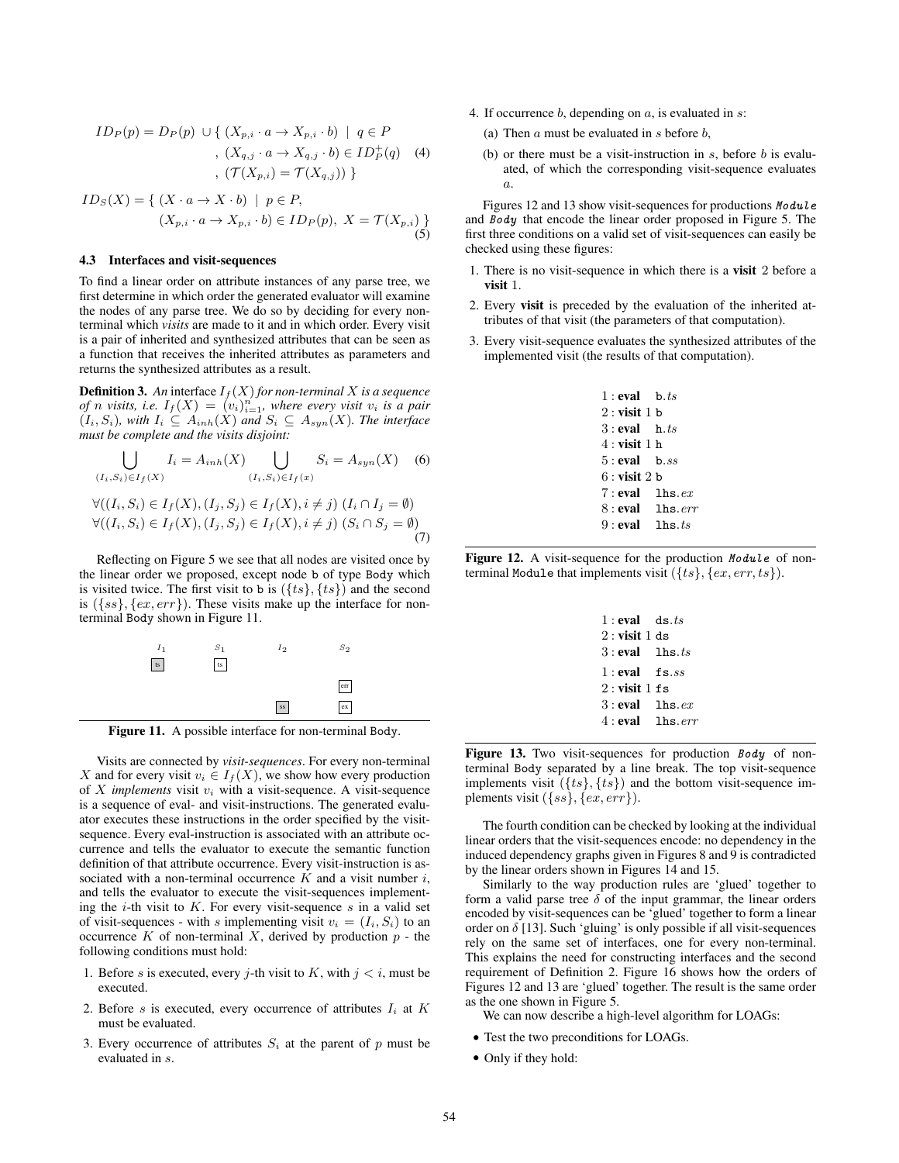$$
ID_P(p) = D_P(p) \cup \{ (X_{p,i} \cdot a \to X_{p,i} \cdot b) \mid q \in P
$$
  
\n
$$
, (X_{q,j} \cdot a \to X_{q,j} \cdot b) \in ID_P^+(q)
$$
  
\n
$$
, (\mathcal{T}(X_{p,i}) = \mathcal{T}(X_{q,j})) \}
$$
 (4)

$$
ID_S(X) = \{ (X \cdot a \to X \cdot b) \mid p \in P,
$$
  

$$
(X_{p,i} \cdot a \to X_{p,i} \cdot b) \in ID_P(p), X = \mathcal{T}(X_{p,i}) \}
$$
  
(5)

## 4.3 Interfaces and visit-sequences

To find a linear order on attribute instances of any parse tree, we first determine in which order the generated evaluator will examine the nodes of any parse tree. We do so by deciding for every nonterminal which *visits* are made to it and in which order. Every visit is a pair of inherited and synthesized attributes that can be seen as a function that receives the inherited attributes as parameters and returns the synthesized attributes as a result.

**Definition 3.** An interface  $I_f(X)$  for non-terminal X is a sequence *of n visits, i.e.*  $I_f(X) = (v_i)_{i=1}^n$ *, where every visit*  $v_i$  *is a pair*  $(I_i, S_i)$ *, with*  $I_i \subseteq A_{inh}(X)$  *and*  $S_i \subseteq A_{syn}(X)$ *. The interface must be complete and the visits disjoint:*

$$
\bigcup_{(I_i, S_i) \in I_f(X)} I_i = A_{inh}(X) \bigcup_{(I_i, S_i) \in I_f(x)} S_i = A_{syn}(X) \quad (6)
$$
  

$$
\forall ((I_i, S_i) \in I_f(X), (I_j, S_j) \in I_f(X), i \neq j) (I_i \cap I_j = \emptyset)
$$
  

$$
\forall ((I_i, S_i) \in I_f(X), (I_i, S_i) \in I_f(X), i \neq j) (S_i \cap S_i = \emptyset)
$$

$$
\forall ((I_i, S_i) \in I_f(X), (I_j, S_j) \in I_f(X), i \neq j) \ (I_i \cap I_j = \emptyset)
$$
  

$$
\forall ((I_i, S_i) \in I_f(X), (I_j, S_j) \in I_f(X), i \neq j) \ (S_i \cap S_j = \emptyset)
$$
  
(7)

Reflecting on Figure 5 we see that all nodes are visited once by the linear order we proposed, except node b of type Body which is visited twice. The first visit to b is  $({\{ts\}, \{ts\}})$  and the second is  $({ss}, {ex, err})$ . These visits make up the interface for nonterminal Body shown in Figure 11.



Figure 11. A possible interface for non-terminal Body.

Visits are connected by *visit-sequences*. For every non-terminal X and for every visit  $v_i \in I_f(X)$ , we show how every production of  $X$  *implements* visit  $v_i$  with a visit-sequence. A visit-sequence is a sequence of eval- and visit-instructions. The generated evaluator executes these instructions in the order specified by the visitsequence. Every eval-instruction is associated with an attribute occurrence and tells the evaluator to execute the semantic function definition of that attribute occurrence. Every visit-instruction is associated with a non-terminal occurrence  $K$  and a visit number  $i$ , and tells the evaluator to execute the visit-sequences implementing the *i*-th visit to  $K$ . For every visit-sequence  $s$  in a valid set of visit-sequences - with s implementing visit  $v_i = (I_i, S_i)$  to an occurrence  $K$  of non-terminal  $X$ , derived by production  $p$  - the following conditions must hold:

- 1. Before s is executed, every j-th visit to K, with  $j < i$ , must be executed.
- 2. Before s is executed, every occurrence of attributes  $I_i$  at  $K$ must be evaluated.
- 3. Every occurrence of attributes  $S_i$  at the parent of p must be evaluated in s.
- 4. If occurrence  $b$ , depending on  $a$ , is evaluated in  $s$ :
	- (a) Then  $a$  must be evaluated in  $s$  before  $b$ ,
	- (b) or there must be a visit-instruction in  $s$ , before  $b$  is evaluated, of which the corresponding visit-sequence evaluates a.

Figures 12 and 13 show visit-sequences for productions Module and Body that encode the linear order proposed in Figure 5. The first three conditions on a valid set of visit-sequences can easily be checked using these figures:

- 1. There is no visit-sequence in which there is a visit 2 before a visit 1.
- 2. Every visit is preceded by the evaluation of the inherited attributes of that visit (the parameters of that computation).
- 3. Every visit-sequence evaluates the synthesized attributes of the implemented visit (the results of that computation).

| $1:$ eval b. $ts$   |  |
|---------------------|--|
| $2:$ visit 1 b      |  |
| $3:$ eval $h.ts$    |  |
| $4:$ visit 1 h      |  |
| $5:$ eval b.ss      |  |
| $6:$ visit 2 b      |  |
| $7:$ eval lhs. $ex$ |  |
| $8:$ eval lhs.err   |  |
| $9:$ eval lhs. $ts$ |  |
|                     |  |

Figure 12. A visit-sequence for the production Module of nonterminal Module that implements visit  $({\{ts\}, \{ex, err, ts\}})$ .

| 1: eval ds.ts     |        |
|-------------------|--------|
| $2:$ visit 1 ds   |        |
| $3:$ eval lhs.ts  |        |
| $1:eval$ fs.ss    |        |
| $2:$ visit 1 f s  |        |
| $3:$ eval         | 1hs.ex |
| $4:$ eval lhs.err |        |
|                   |        |

Figure 13. Two visit-sequences for production Body of nonterminal Body separated by a line break. The top visit-sequence implements visit  $({ts}, {ts})$  and the bottom visit-sequence implements visit  $({ss}, {ex, err}).$ 

The fourth condition can be checked by looking at the individual linear orders that the visit-sequences encode: no dependency in the induced dependency graphs given in Figures 8 and 9 is contradicted by the linear orders shown in Figures 14 and 15.

Similarly to the way production rules are 'glued' together to form a valid parse tree  $\delta$  of the input grammar, the linear orders encoded by visit-sequences can be 'glued' together to form a linear order on  $\delta$  [13]. Such 'gluing' is only possible if all visit-sequences rely on the same set of interfaces, one for every non-terminal. This explains the need for constructing interfaces and the second requirement of Definition 2. Figure 16 shows how the orders of Figures 12 and 13 are 'glued' together. The result is the same order as the one shown in Figure 5.

We can now describe a high-level algorithm for LOAGs:

- Test the two preconditions for LOAGs.
- Only if they hold: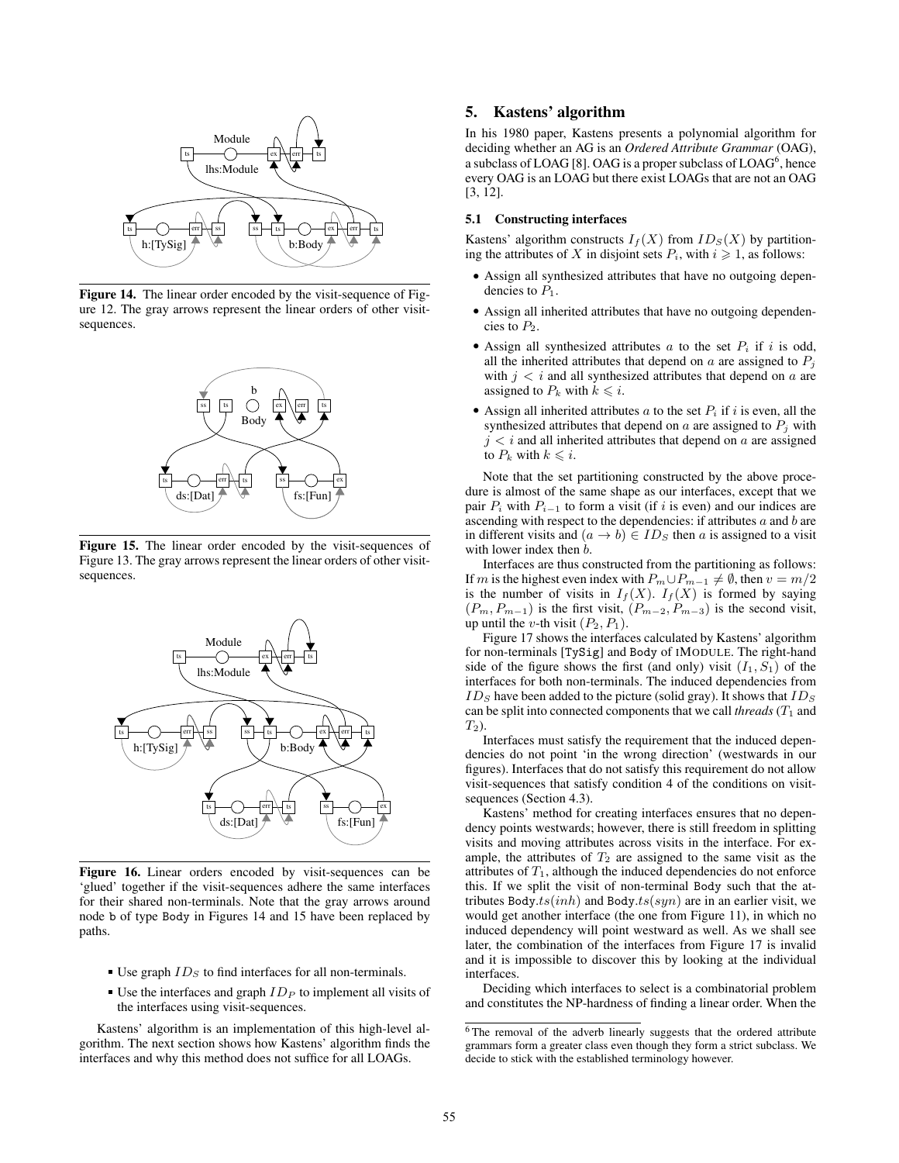

Figure 14. The linear order encoded by the visit-sequence of Figure 12. The gray arrows represent the linear orders of other visitsequences.



Figure 15. The linear order encoded by the visit-sequences of Figure 13. The gray arrows represent the linear orders of other visitsequences.



Figure 16. Linear orders encoded by visit-sequences can be 'glued' together if the visit-sequences adhere the same interfaces for their shared non-terminals. Note that the gray arrows around node b of type Body in Figures 14 and 15 have been replaced by paths.

- Use graph  $ID<sub>S</sub>$  to find interfaces for all non-terminals.
- Use the interfaces and graph  $ID<sub>P</sub>$  to implement all visits of the interfaces using visit-sequences.

Kastens' algorithm is an implementation of this high-level algorithm. The next section shows how Kastens' algorithm finds the interfaces and why this method does not suffice for all LOAGs.

# 5. Kastens' algorithm

In his 1980 paper, Kastens presents a polynomial algorithm for deciding whether an AG is an *Ordered Attribute Grammar* (OAG), a subclass of LOAG [8]. OAG is a proper subclass of  ${\rm LOAG}^6$  , hence every OAG is an LOAG but there exist LOAGs that are not an OAG [3, 12].

# 5.1 Constructing interfaces

Kastens' algorithm constructs  $I_f(X)$  from  $ID_S(X)$  by partitioning the attributes of X in disjoint sets  $P_i$ , with  $i \geq 1$ , as follows:

- Assign all synthesized attributes that have no outgoing dependencies to  $P_1$ .
- Assign all inherited attributes that have no outgoing dependencies to  $P_2$ .
- Assign all synthesized attributes  $a$  to the set  $P_i$  if  $i$  is odd, all the inherited attributes that depend on  $a$  are assigned to  $P_i$ with  $j < i$  and all synthesized attributes that depend on a are assigned to  $P_k$  with  $k \leq i$ .
- Assign all inherited attributes a to the set  $P_i$  if i is even, all the synthesized attributes that depend on  $a$  are assigned to  $P_i$  with  $j < i$  and all inherited attributes that depend on a are assigned to  $P_k$  with  $k \leq i$ .

Note that the set partitioning constructed by the above procedure is almost of the same shape as our interfaces, except that we pair  $P_i$  with  $P_{i-1}$  to form a visit (if i is even) and our indices are ascending with respect to the dependencies: if attributes  $a$  and  $b$  are in different visits and  $(a \rightarrow b) \in ID_S$  then a is assigned to a visit with lower index then  $b$ .

Interfaces are thus constructed from the partitioning as follows: If m is the highest even index with  $P_m \cup P_{m-1} \neq \emptyset$ , then  $v = m/2$ is the number of visits in  $I_f(X)$ .  $I_f(X)$  is formed by saying  $(P_m, P_{m-1})$  is the first visit,  $(P_{m-2}, P_{m-3})$  is the second visit, up until the *v*-th visit  $(P_2, P_1)$ .

Figure 17 shows the interfaces calculated by Kastens' algorithm for non-terminals [TySig] and Body of IMODULE. The right-hand side of the figure shows the first (and only) visit  $(I_1, S_1)$  of the interfaces for both non-terminals. The induced dependencies from  $ID<sub>S</sub>$  have been added to the picture (solid gray). It shows that  $ID<sub>S</sub>$ can be split into connected components that we call *threads*  $(T_1)$  and  $T_2$ ).

Interfaces must satisfy the requirement that the induced dependencies do not point 'in the wrong direction' (westwards in our figures). Interfaces that do not satisfy this requirement do not allow visit-sequences that satisfy condition 4 of the conditions on visitsequences (Section 4.3).

Kastens' method for creating interfaces ensures that no dependency points westwards; however, there is still freedom in splitting visits and moving attributes across visits in the interface. For example, the attributes of  $T_2$  are assigned to the same visit as the attributes of  $T_1$ , although the induced dependencies do not enforce this. If we split the visit of non-terminal Body such that the attributes Body.ts $(inh)$  and Body.ts $(syn)$  are in an earlier visit, we would get another interface (the one from Figure 11), in which no induced dependency will point westward as well. As we shall see later, the combination of the interfaces from Figure 17 is invalid and it is impossible to discover this by looking at the individual interfaces.

Deciding which interfaces to select is a combinatorial problem and constitutes the NP-hardness of finding a linear order. When the

<sup>&</sup>lt;sup>6</sup>The removal of the adverb linearly suggests that the ordered attribute grammars form a greater class even though they form a strict subclass. We decide to stick with the established terminology however.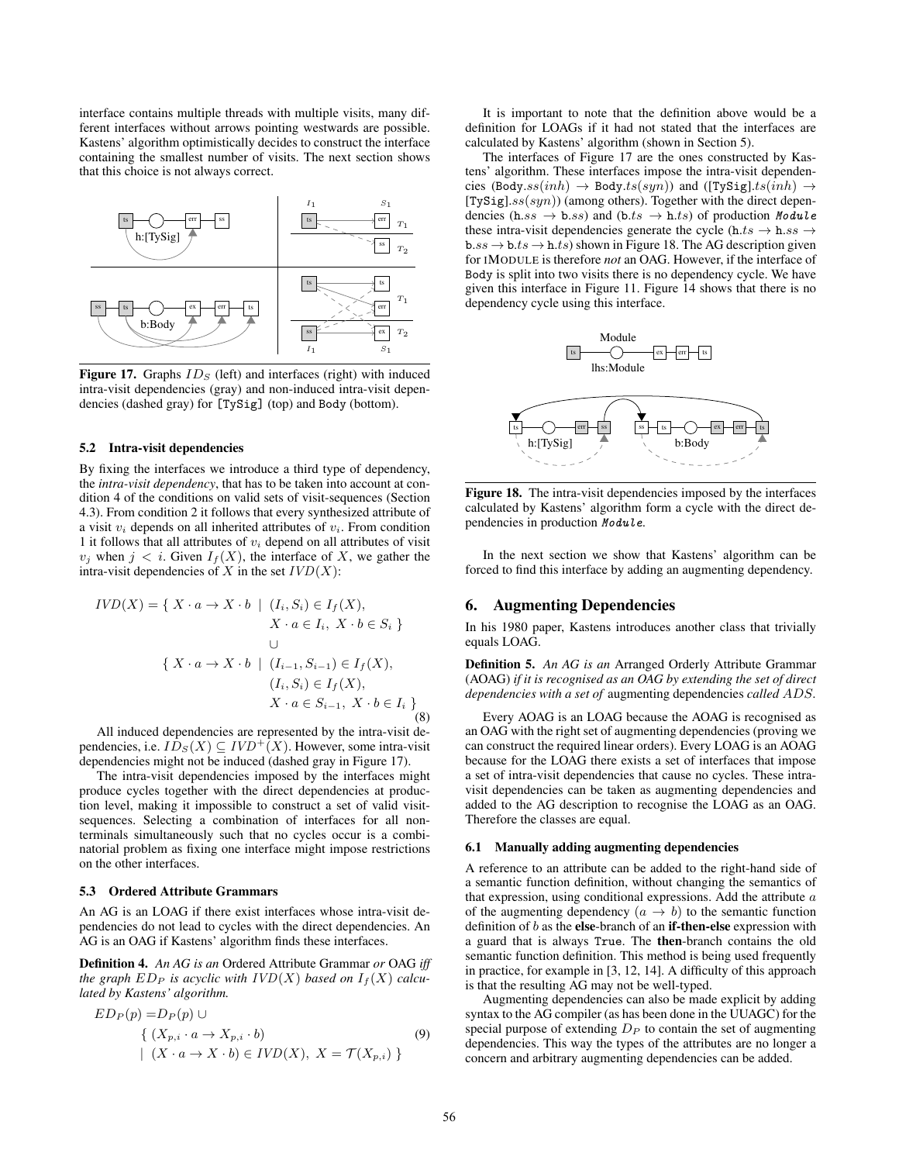interface contains multiple threads with multiple visits, many different interfaces without arrows pointing westwards are possible. Kastens' algorithm optimistically decides to construct the interface containing the smallest number of visits. The next section shows that this choice is not always correct.



Figure 17. Graphs  $ID_S$  (left) and interfaces (right) with induced intra-visit dependencies (gray) and non-induced intra-visit dependencies (dashed gray) for [TySig] (top) and Body (bottom).

#### 5.2 Intra-visit dependencies

By fixing the interfaces we introduce a third type of dependency, the *intra-visit dependency*, that has to be taken into account at condition 4 of the conditions on valid sets of visit-sequences (Section 4.3). From condition 2 it follows that every synthesized attribute of a visit  $v_i$  depends on all inherited attributes of  $v_i$ . From condition 1 it follows that all attributes of  $v_i$  depend on all attributes of visit  $v_j$  when  $j < i$ . Given  $I_f(X)$ , the interface of X, we gather the intra-visit dependencies of X in the set  $IVD(X)$ :

$$
IVD(X) = \{ X \cdot a \to X \cdot b \mid (I_i, S_i) \in I_f(X),
$$
  
\n
$$
X \cdot a \in I_i, \ X \cdot b \in S_i \}
$$
  
\n
$$
\cup
$$
  
\n
$$
\{ X \cdot a \to X \cdot b \mid (I_{i-1}, S_{i-1}) \in I_f(X),
$$
  
\n
$$
(I_i, S_i) \in I_f(X),
$$
  
\n
$$
X \cdot a \in S_{i-1}, \ X \cdot b \in I_i \}
$$
  
\n(8)

All induced dependencies are represented by the intra-visit dependencies, i.e.  $ID_S(X) \subseteq IVD^+(X)$ . However, some intra-visit dependencies might not be induced (dashed gray in Figure 17).

The intra-visit dependencies imposed by the interfaces might produce cycles together with the direct dependencies at production level, making it impossible to construct a set of valid visitsequences. Selecting a combination of interfaces for all nonterminals simultaneously such that no cycles occur is a combinatorial problem as fixing one interface might impose restrictions on the other interfaces.

# 5.3 Ordered Attribute Grammars

An AG is an LOAG if there exist interfaces whose intra-visit dependencies do not lead to cycles with the direct dependencies. An AG is an OAG if Kastens' algorithm finds these interfaces.

Definition 4. *An AG is an* Ordered Attribute Grammar *or* OAG *iff the graph*  $ED_P$  *is acyclic with*  $IVD(X)$  *based on*  $I_f(X)$  *calculated by Kastens' algorithm.*

$$
ED_P(p) = D_P(p) \cup
$$
  
{ (X<sub>p,i</sub> · a → X<sub>p,i</sub> · b) (9)  
 | (X · a → X · b) ∈ *IVD*(X), X = T(X<sub>p,i</sub>) }

It is important to note that the definition above would be a definition for LOAGs if it had not stated that the interfaces are calculated by Kastens' algorithm (shown in Section 5).

The interfaces of Figure 17 are the ones constructed by Kastens' algorithm. These interfaces impose the intra-visit dependencies (Body.ss(inh)  $\rightarrow$  Body.ts(syn)) and ([TySig].ts(inh)  $\rightarrow$ [TySig]. $ss(syn)$ ) (among others). Together with the direct dependencies (h.ss  $\rightarrow$  b.ss) and (b.ts  $\rightarrow$  h.ts) of production Module these intra-visit dependencies generate the cycle (h.ts  $\rightarrow$  h.ss  $\rightarrow$  $b.ss \rightarrow b.ts \rightarrow h.ts$ ) shown in Figure 18. The AG description given for IMODULE is therefore *not* an OAG. However, if the interface of Body is split into two visits there is no dependency cycle. We have given this interface in Figure 11. Figure 14 shows that there is no dependency cycle using this interface.



Figure 18. The intra-visit dependencies imposed by the interfaces calculated by Kastens' algorithm form a cycle with the direct dependencies in production Module.

In the next section we show that Kastens' algorithm can be forced to find this interface by adding an augmenting dependency.

# 6. Augmenting Dependencies

In his 1980 paper, Kastens introduces another class that trivially equals LOAG.

Definition 5. *An AG is an* Arranged Orderly Attribute Grammar (AOAG) *if it is recognised as an OAG by extending the set of direct dependencies with a set of* augmenting dependencies *called* ADS*.*

Every AOAG is an LOAG because the AOAG is recognised as an OAG with the right set of augmenting dependencies (proving we can construct the required linear orders). Every LOAG is an AOAG because for the LOAG there exists a set of interfaces that impose a set of intra-visit dependencies that cause no cycles. These intravisit dependencies can be taken as augmenting dependencies and added to the AG description to recognise the LOAG as an OAG. Therefore the classes are equal.

## 6.1 Manually adding augmenting dependencies

A reference to an attribute can be added to the right-hand side of a semantic function definition, without changing the semantics of that expression, using conditional expressions. Add the attribute  $a$ of the augmenting dependency  $(a \rightarrow b)$  to the semantic function definition of  $b$  as the else-branch of an **if-then-else** expression with a guard that is always True. The then-branch contains the old semantic function definition. This method is being used frequently in practice, for example in [3, 12, 14]. A difficulty of this approach is that the resulting AG may not be well-typed.

Augmenting dependencies can also be made explicit by adding syntax to the AG compiler (as has been done in the UUAGC) for the special purpose of extending  $D_P$  to contain the set of augmenting dependencies. This way the types of the attributes are no longer a concern and arbitrary augmenting dependencies can be added.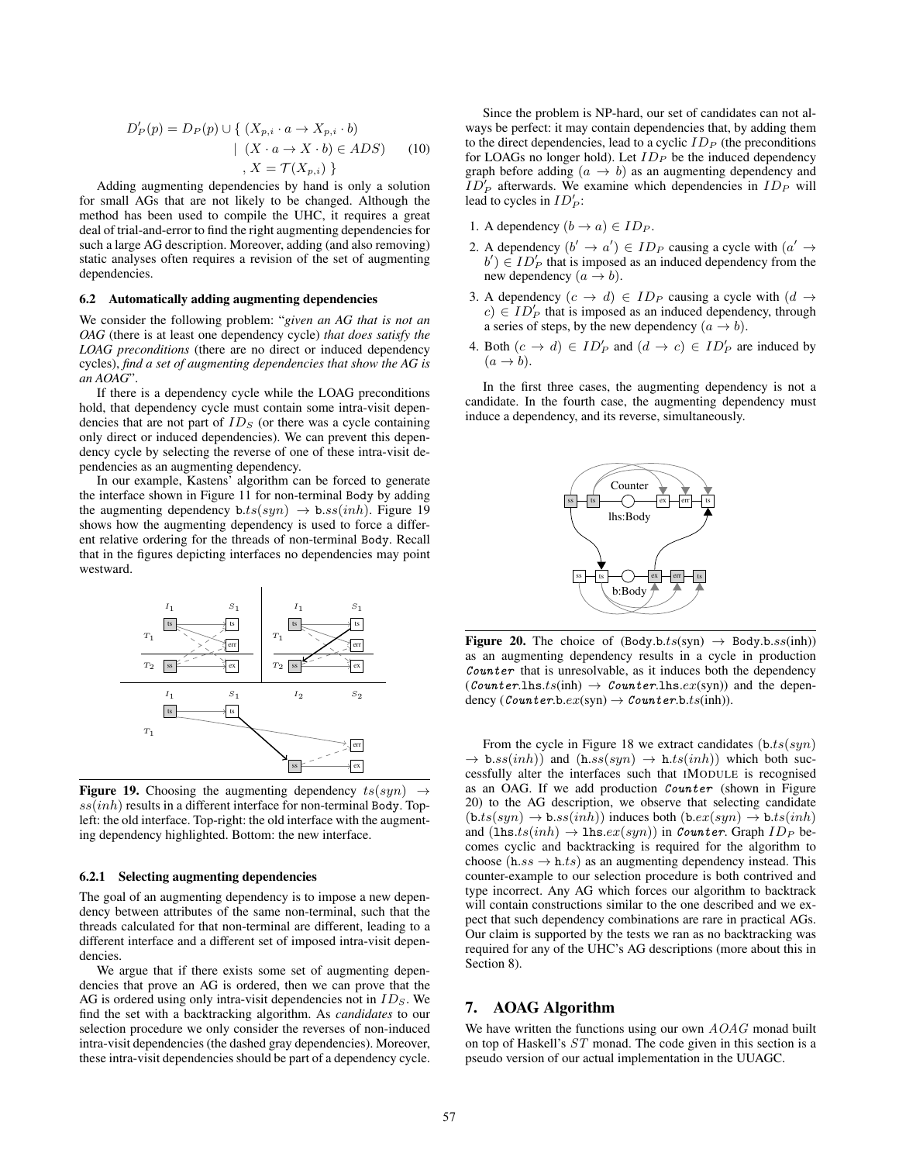$$
D'_{P}(p) = D_{P}(p) \cup \{ (X_{p,i} \cdot a \to X_{p,i} \cdot b) \mid (X \cdot a \to X \cdot b) \in ADS) \quad (10) \quad , X = \mathcal{T}(X_{p,i}) \}
$$

Adding augmenting dependencies by hand is only a solution for small AGs that are not likely to be changed. Although the method has been used to compile the UHC, it requires a great deal of trial-and-error to find the right augmenting dependencies for such a large AG description. Moreover, adding (and also removing) static analyses often requires a revision of the set of augmenting dependencies.

# 6.2 Automatically adding augmenting dependencies

We consider the following problem: "*given an AG that is not an OAG* (there is at least one dependency cycle) *that does satisfy the LOAG preconditions* (there are no direct or induced dependency cycles), *find a set of augmenting dependencies that show the AG is an AOAG*".

If there is a dependency cycle while the LOAG preconditions hold, that dependency cycle must contain some intra-visit dependencies that are not part of  $ID<sub>S</sub>$  (or there was a cycle containing only direct or induced dependencies). We can prevent this dependency cycle by selecting the reverse of one of these intra-visit dependencies as an augmenting dependency.

In our example, Kastens' algorithm can be forced to generate the interface shown in Figure 11 for non-terminal Body by adding the augmenting dependency  $b.ts(syn) \rightarrow b:ss(inh)$ . Figure 19 shows how the augmenting dependency is used to force a different relative ordering for the threads of non-terminal Body. Recall that in the figures depicting interfaces no dependencies may point westward.



Figure 19. Choosing the augmenting dependency  $ts(syn) \rightarrow$  $ss(inh)$  results in a different interface for non-terminal Body. Topleft: the old interface. Top-right: the old interface with the augmenting dependency highlighted. Bottom: the new interface.

## 6.2.1 Selecting augmenting dependencies

The goal of an augmenting dependency is to impose a new dependency between attributes of the same non-terminal, such that the threads calculated for that non-terminal are different, leading to a different interface and a different set of imposed intra-visit dependencies.

We argue that if there exists some set of augmenting dependencies that prove an AG is ordered, then we can prove that the AG is ordered using only intra-visit dependencies not in  $ID_S$ . We find the set with a backtracking algorithm. As *candidates* to our selection procedure we only consider the reverses of non-induced intra-visit dependencies (the dashed gray dependencies). Moreover, these intra-visit dependencies should be part of a dependency cycle.

Since the problem is NP-hard, our set of candidates can not always be perfect: it may contain dependencies that, by adding them to the direct dependencies, lead to a cyclic  $ID<sub>P</sub>$  (the preconditions for LOAGs no longer hold). Let  $ID<sub>P</sub>$  be the induced dependency graph before adding  $(a \rightarrow b)$  as an augmenting dependency and  $\overrightarrow{ID}_P$  afterwards. We examine which dependencies in  $ID_P$  will lead to cycles in  $ID'_P$ :

- 1. A dependency  $(b \rightarrow a) \in ID_P$ .
- 2. A dependency  $(b' \rightarrow a') \in ID_P$  causing a cycle with  $(a' \rightarrow a')$  $b'$ )  $\in$  ID'<sub>P</sub> that is imposed as an induced dependency from the new dependency  $(a \rightarrow b)$ .
- 3. A dependency  $(c \rightarrow d) \in ID_P$  causing a cycle with  $(d \rightarrow$  $c) \in ID_P'$  that is imposed as an induced dependency, through a series of steps, by the new dependency  $(a \rightarrow b)$ .
- 4. Both  $(c \rightarrow d) \in ID'_P$  and  $(d \rightarrow c) \in ID'_P$  are induced by  $(a \rightarrow b).$

In the first three cases, the augmenting dependency is not a candidate. In the fourth case, the augmenting dependency must induce a dependency, and its reverse, simultaneously.



**Figure 20.** The choice of  $(Body.b.ts(syn) \rightarrow Body.b:ss(inh))$ as an augmenting dependency results in a cycle in production  $Counter$  that is unresolvable, as it induces both the dependency  $(Counter.1hs. t(sinh) \rightarrow Counter.1hs. ex(syn))$  and the dependency  $(\text{Counter.b.}ex(\text{syn}) \rightarrow \text{Counter.b.}ts(\text{inh})).$ 

From the cycle in Figure 18 we extract candidates  $(b.ts(syn))$  $\rightarrow$  b.ss(inh)) and (h.ss(syn)  $\rightarrow$  h.ts(inh)) which both successfully alter the interfaces such that IMODULE is recognised as an OAG. If we add production Counter (shown in Figure 20) to the AG description, we observe that selecting candidate  $(b.ts(syn) \rightarrow b:ss(inh))$  induces both  $(b.ex(syn) \rightarrow b.ts(inh)$ and  $(\text{lns}.ts(inh) \rightarrow \text{lns}.ex(syn))$  in Counter. Graph  $ID_P$  becomes cyclic and backtracking is required for the algorithm to choose (h.ss  $\rightarrow$  h.ts) as an augmenting dependency instead. This counter-example to our selection procedure is both contrived and type incorrect. Any AG which forces our algorithm to backtrack will contain constructions similar to the one described and we expect that such dependency combinations are rare in practical AGs. Our claim is supported by the tests we ran as no backtracking was required for any of the UHC's AG descriptions (more about this in Section 8).

# 7. AOAG Algorithm

We have written the functions using our own  $AOAG$  monad built on top of Haskell's ST monad. The code given in this section is a pseudo version of our actual implementation in the UUAGC.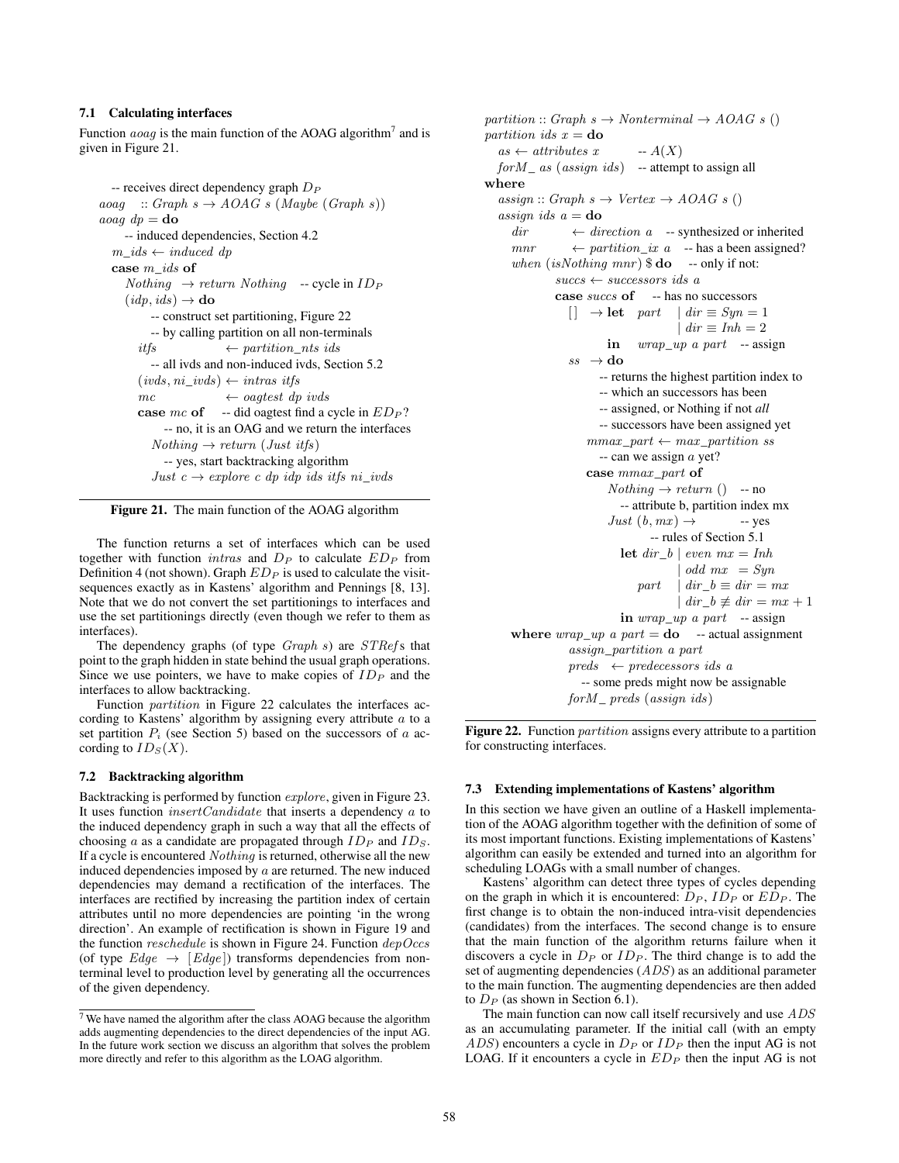# 7.1 Calculating interfaces

Function *aoag* is the main function of the AOAG algorithm<sup>7</sup> and is given in Figure 21.

```
-- receives direct dependency graph D_Paoaq :: Graph s \rightarrow AOAG s (Maybe (Graph s))aoag dp =do
    -- induced dependencies, Section 4.2
  m\_ids \leftarrow induced \ dpcase m_ids of
     Nothing \rightarrow return \ Nothing -- cycle in ID_P(idp, ids) \rightarrowdo
          -- construct set partitioning, Figure 22
          -- by calling partition on all non-terminals
       it fs \leftarrow partition_nts ids
          -- all ivds and non-induced ivds, Section 5.2
       (i\nu ds, ni\;ivds) \leftarrow intras\; itfsmc \leftarrow ogtest dp \text{ i} vdscase mc of -- did oagtest find a cycle in ED_P?
            -- no, it is an OAG and we return the interfaces
          Nothing \rightarrow return (Just itfs)-- yes, start backtracking algorithm
          Just c \rightarrow explore c dp idp ids its ni_ivds
```


The function returns a set of interfaces which can be used together with function *intras* and  $D<sub>P</sub>$  to calculate  $ED<sub>P</sub>$  from Definition 4 (not shown). Graph  $ED_P$  is used to calculate the visitsequences exactly as in Kastens' algorithm and Pennings [8, 13]. Note that we do not convert the set partitionings to interfaces and use the set partitionings directly (even though we refer to them as interfaces).

The dependency graphs (of type  $Graph s$ ) are  $STRef s$  that point to the graph hidden in state behind the usual graph operations. Since we use pointers, we have to make copies of  $ID_P$  and the interfaces to allow backtracking.

Function partition in Figure 22 calculates the interfaces according to Kastens' algorithm by assigning every attribute a to a set partition  $P_i$  (see Section 5) based on the successors of  $a$  according to  $ID_S(X)$ .

# 7.2 Backtracking algorithm

Backtracking is performed by function explore, given in Figure 23. It uses function  $insertC and date$  that inserts a dependency  $a$  to the induced dependency graph in such a way that all the effects of choosing a as a candidate are propagated through  $ID<sub>P</sub>$  and  $ID<sub>S</sub>$ . If a cycle is encountered Nothing is returned, otherwise all the new induced dependencies imposed by  $a$  are returned. The new induced dependencies may demand a rectification of the interfaces. The interfaces are rectified by increasing the partition index of certain attributes until no more dependencies are pointing 'in the wrong direction'. An example of rectification is shown in Figure 19 and the function  $reschedule$  is shown in Figure 24. Function  $depOccs$ (of type  $Edge \rightarrow [Edge]$ ) transforms dependencies from nonterminal level to production level by generating all the occurrences of the given dependency.

partition :: Graph  $s \to \text{Nonterminal} \to \text{AOAG} \ s$  () partition ids  $x =$ **do**  $as \leftarrow attributes x$  --  $A(X)$  $for M$ <sub>-</sub> as (assign ids) -- attempt to assign all where  $assign :: Graph s \rightarrow Vertex \rightarrow AOAG s()$ assign ids  $a =$ **do**  $dir \leftarrow direction \ a$  -- synthesized or inherited  $mnr \leftarrow$  partition\_ix a -- has a been assigned? when  $(isNothing$  mnr)  $\$\mathbf{do}$  -- only if not:  $successors$  ids a case succs of -- has no successors  $\begin{array}{c} \Box \end{array} \rightarrow$  let part  $| dir \equiv Syn = 1$  $\int$  dir  $\equiv$  Inh  $=$  2 in  $wrap\_up$  a part -- assign  $ss \rightarrow$  do -- returns the highest partition index to -- which an successors has been -- assigned, or Nothing if not *all* -- successors have been assigned yet  $\textit{mmax\_part} \leftarrow \textit{max\_partition} \ \textit{ss}$  $-$  can we assign  $\alpha$  yet? case mmax\_part of  $Nothing \rightarrow return$  () -- no -- attribute b, partition index mx  $Just (b, mx) \rightarrow$  -- yes -- rules of Section 5.1 let  $dir_b \mid even \, mx = Inh$  $\vert$  odd  $mx = Syn$  $part \mid dir \_b \equiv dir = mx$  $\int$  dir = mx + 1 in  $wrap\_up$  a part -- assign where  $wrap\_up$  a part = **do** -- actual assignment assign\_partition a part  $preds \leftarrow predecessors$  ids a -- some preds might now be assignable  $for M_{\perp}$  preds (assign ids)

Figure 22. Function *partition* assigns every attribute to a partition for constructing interfaces.

## 7.3 Extending implementations of Kastens' algorithm

In this section we have given an outline of a Haskell implementation of the AOAG algorithm together with the definition of some of its most important functions. Existing implementations of Kastens' algorithm can easily be extended and turned into an algorithm for scheduling LOAGs with a small number of changes.

Kastens' algorithm can detect three types of cycles depending on the graph in which it is encountered:  $D_P$ ,  $ID_P$  or  $ED_P$ . The first change is to obtain the non-induced intra-visit dependencies (candidates) from the interfaces. The second change is to ensure that the main function of the algorithm returns failure when it discovers a cycle in  $D_P$  or  $ID_P$ . The third change is to add the set of augmenting dependencies (ADS) as an additional parameter to the main function. The augmenting dependencies are then added to  $D_P$  (as shown in Section 6.1).

The main function can now call itself recursively and use ADS as an accumulating parameter. If the initial call (with an empty  $ADS$ ) encounters a cycle in  $D<sub>P</sub>$  or  $ID<sub>P</sub>$  then the input AG is not LOAG. If it encounters a cycle in  $ED_P$  then the input AG is not

<sup>7</sup> We have named the algorithm after the class AOAG because the algorithm adds augmenting dependencies to the direct dependencies of the input AG. In the future work section we discuss an algorithm that solves the problem more directly and refer to this algorithm as the LOAG algorithm.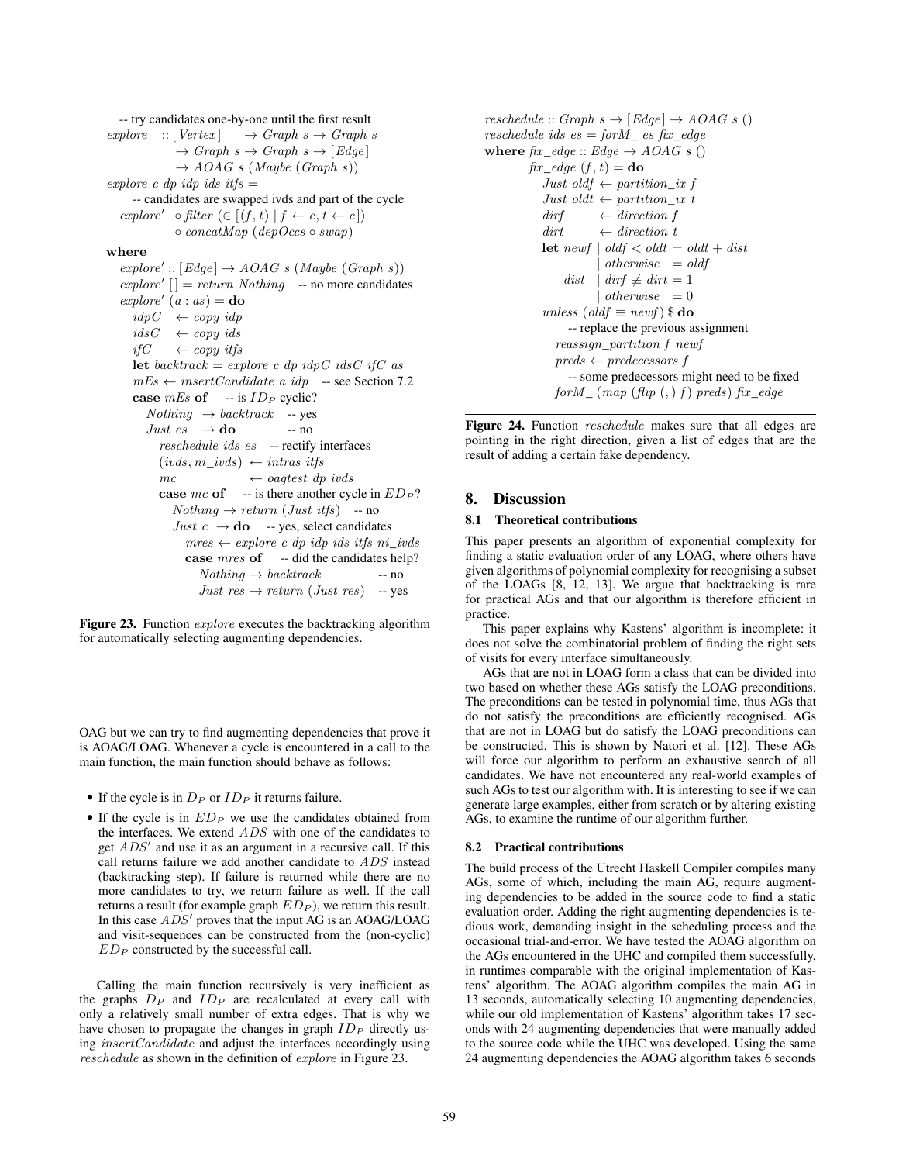-- try candidates one-by-one until the first result explore  $::[Vertex] \rightarrow Graph \, s \rightarrow Graph \, s$  $\rightarrow Graph \; s \rightarrow Graph \; s \rightarrow [Edge]$  $\rightarrow$  AOAG s (Maybe (Graph s)) explore c dp idp ids it  $f_s =$ -- candidates are swapped ivds and part of the cycle explore'  $\circ$  filter  $(\in [(f, t) | f \leftarrow c, t \leftarrow c])$  $\circ$  concatMap (depOccs  $\circ$  swap) where  $explore' :: [Edge] \rightarrow AOAG \, s \, (Maybe (Graph \, s))$  $explore'$   $|$  = return Nothing -- no more candidates  $explore' (a : as) =$ **do**  $idpC \leftarrow copy \, idp$  $idsC \leftarrow copyids$ *if*C ← *copy itfs* let backtrack = explore c dp idpC idsC ifC as  $mEs \leftarrow insertC and date \ a \ idp \quad -\text{see Section 7.2}$ case  $mEs$  of -- is  $ID_P$  cyclic?  $Nothing \rightarrow backtrack$  -- yes Just  $es \rightarrow$  do -- no reschedule ids es -- rectify interfaces  $(i\nu ds, ni\;ivds) \leftarrow intras\; itfs$  $mc \leftrightarrow oagtest dp$  *ivds* case  $mc$  of -- is there another cycle in  $ED_P$ ?  $Nothing \rightarrow return (Just itfs)$  -- no *Just*  $c \rightarrow$  **do** -- yes, select candidates  $mres \leftarrow explore \ c \ dp \ idp \ ids \ itfs \ ni\_ivds$ case mres of -- did the candidates help?  $Nothing \rightarrow backtrack$  -- no Just res  $\rightarrow$  return (Just res) -- yes

Figure 23. Function *explore* executes the backtracking algorithm for automatically selecting augmenting dependencies.

OAG but we can try to find augmenting dependencies that prove it is AOAG/LOAG. Whenever a cycle is encountered in a call to the main function, the main function should behave as follows:

- If the cycle is in  $D_P$  or  $ID_P$  it returns failure.
- If the cycle is in  $ED_P$  we use the candidates obtained from the interfaces. We extend ADS with one of the candidates to get  $ADS'$  and use it as an argument in a recursive call. If this call returns failure we add another candidate to ADS instead (backtracking step). If failure is returned while there are no more candidates to try, we return failure as well. If the call returns a result (for example graph  $ED_P$ ), we return this result. In this case  $ADS'$  proves that the input  $AG$  is an AOAG/LOAG and visit-sequences can be constructed from the (non-cyclic)  $ED<sub>P</sub>$  constructed by the successful call.

Calling the main function recursively is very inefficient as the graphs  $D_P$  and  $ID_P$  are recalculated at every call with only a relatively small number of extra edges. That is why we have chosen to propagate the changes in graph  $ID<sub>P</sub>$  directly using insertCandidate and adjust the interfaces accordingly using reschedule as shown in the definition of explore in Figure 23.

```
reschedule :: Graph s \to [Edge] \to AOAG \ s ()
reschedule ids es = for M es fix edge
where \hat{hx}\_edge\hat{e} :: Edge \rightarrow AOAG \, s ()
         fix\_edge (f, t) =do
            Just oldf \leftarrow partition_ix f
            \emph{Just oldt} \leftarrow \emph{partition\_ix t}\text{diff} ← direction f
            \text{dirt} \leftarrow \text{direction } tlet newf \vert oldf \langle oldt = oldt + dist
                         otherwise = oldfdist | dirf \not\equiv dirt = 1
                        | otherwise = 0unless (oldf \equiv newf) \$\mathbf{do}-- replace the previous assignment
               reassign_partition f newf
               preds \leftarrow predecessors f-- some predecessors might need to be fixed
              for M_{-} (map \ (flip \ (,) \ f) \ preds) \ fix_{edge}
```
Figure 24. Function *reschedule* makes sure that all edges are pointing in the right direction, given a list of edges that are the result of adding a certain fake dependency.

# 8. Discussion

## 8.1 Theoretical contributions

This paper presents an algorithm of exponential complexity for finding a static evaluation order of any LOAG, where others have given algorithms of polynomial complexity for recognising a subset of the LOAGs [8, 12, 13]. We argue that backtracking is rare for practical AGs and that our algorithm is therefore efficient in practice.

This paper explains why Kastens' algorithm is incomplete: it does not solve the combinatorial problem of finding the right sets of visits for every interface simultaneously.

AGs that are not in LOAG form a class that can be divided into two based on whether these AGs satisfy the LOAG preconditions. The preconditions can be tested in polynomial time, thus AGs that do not satisfy the preconditions are efficiently recognised. AGs that are not in LOAG but do satisfy the LOAG preconditions can be constructed. This is shown by Natori et al. [12]. These AGs will force our algorithm to perform an exhaustive search of all candidates. We have not encountered any real-world examples of such AGs to test our algorithm with. It is interesting to see if we can generate large examples, either from scratch or by altering existing AGs, to examine the runtime of our algorithm further.

# 8.2 Practical contributions

The build process of the Utrecht Haskell Compiler compiles many AGs, some of which, including the main AG, require augmenting dependencies to be added in the source code to find a static evaluation order. Adding the right augmenting dependencies is tedious work, demanding insight in the scheduling process and the occasional trial-and-error. We have tested the AOAG algorithm on the AGs encountered in the UHC and compiled them successfully, in runtimes comparable with the original implementation of Kastens' algorithm. The AOAG algorithm compiles the main AG in 13 seconds, automatically selecting 10 augmenting dependencies, while our old implementation of Kastens' algorithm takes 17 seconds with 24 augmenting dependencies that were manually added to the source code while the UHC was developed. Using the same 24 augmenting dependencies the AOAG algorithm takes 6 seconds